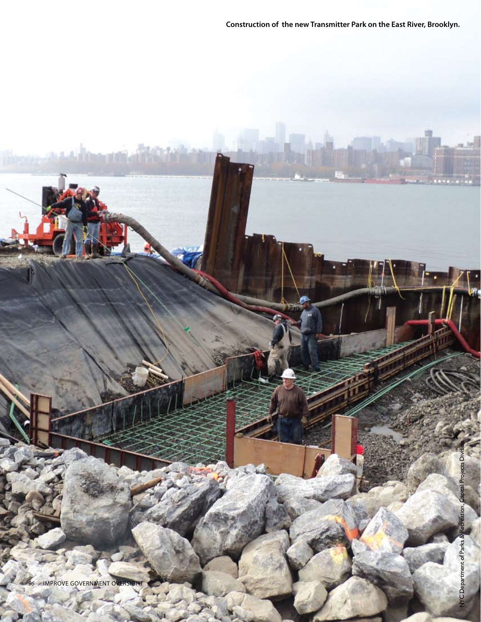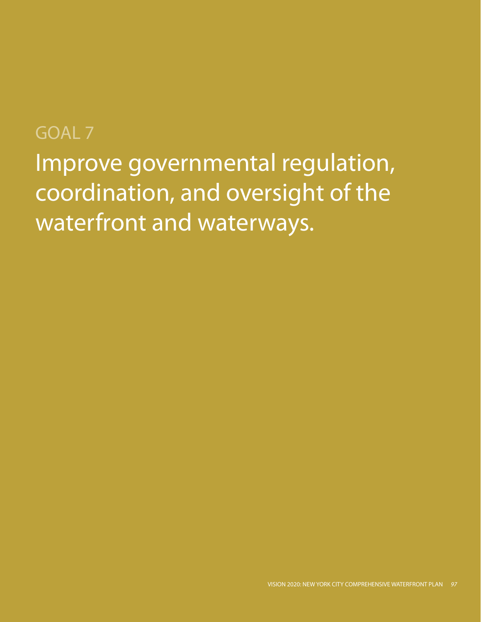# GOAL 7

Improve governmental regulation, coordination, and oversight of the waterfront and waterways.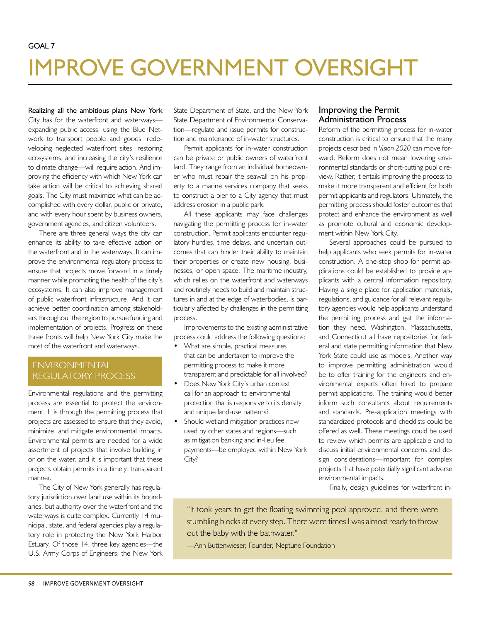# IMPROVE GOVERNMENT OVERSIGHT

Realizing all the ambitious plans New York City has for the waterfront and waterways expanding public access, using the Blue Network to transport people and goods, redeveloping neglected waterfront sites, restoring ecosystems, and increasing the city's resilience to climate change—will require action. And improving the efficiency with which New York can take action will be critical to achieving shared goals. The City must maximize what can be accomplished with every dollar, public or private, and with every hour spent by business owners, government agencies, and citizen volunteers.

There are three general ways the city can enhance its ability to take effective action on the waterfront and in the waterways. It can improve the environmental regulatory process to ensure that projects move forward in a timely manner while promoting the health of the city's ecosystems. It can also improve management of public waterfront infrastructure. And it can achieve better coordination among stakeholders throughout the region to pursue funding and implementation of projects. Progress on these three fronts will help New York City make the most of the waterfront and waterways.

# ENVIRONMENTAL REGULATORY PROCESS

Environmental regulations and the permitting process are essential to protect the environment. It is through the permitting process that projects are assessed to ensure that they avoid, minimize, and mitigate environmental impacts. Environmental permits are needed for a wide assortment of projects that involve building in or on the water, and it is important that these projects obtain permits in a timely, transparent manner.

The City of New York generally has regulatory jurisdiction over land use within its boundaries, but authority over the waterfront and the waterways is quite complex. Currently 14 municipal, state, and federal agencies play a regulatory role in protecting the New York Harbor Estuary. Of those 14, three key agencies—the U.S. Army Corps of Engineers, the New York State Department of State, and the New York State Department of Environmental Conservation—regulate and issue permits for construction and maintenance of in-water structures.

Permit applicants for in-water construction can be private or public owners of waterfront land. They range from an individual homeowner who must repair the seawall on his property to a marine services company that seeks to construct a pier to a City agency that must address erosion in a public park.

All these applicants may face challenges navigating the permitting process for in-water construction. Permit applicants encounter regulatory hurdles, time delays, and uncertain outcomes that can hinder their ability to maintain their properties or create new housing, businesses, or open space. The maritime industry, which relies on the waterfront and waterways and routinely needs to build and maintain structures in and at the edge of waterbodies, is particularly affected by challenges in the permitting process.

Improvements to the existing administrative process could address the following questions:

- What are simple, practical measures that can be undertaken to improve the permitting process to make it more transparent and predictable for all involved?
- Does New York City's urban context call for an approach to environmental protection that is responsive to its density and unique land-use patterns?
- Should wetland mitigation practices now used by other states and regions—such as mitigation banking and in-lieu fee payments—be employed within New York City?

### Improving the Permit Administration Process

Reform of the permitting process for in-water construction is critical to ensure that the many projects described in *Vision 2020* can move forward. Reform does not mean lowering environmental standards or short-cutting public review. Rather, it entails improving the process to make it more transparent and efficient for both permit applicants and regulators. Ultimately, the permitting process should foster outcomes that protect and enhance the environment as well as promote cultural and economic development within New York City.

Several approaches could be pursued to help applicants who seek permits for in-water construction. A one-stop shop for permit applications could be established to provide applicants with a central information repository. Having a single place for application materials, regulations, and guidance for all relevant regulatory agencies would help applicants understand the permitting process and get the information they need. Washington, Massachusetts, and Connecticut all have repositories for federal and state permitting information that New York State could use as models. Another way to improve permitting administration would be to offer training for the engineers and environmental experts often hired to prepare permit applications. The training would better inform such consultants about requirements and standards. Pre-application meetings with standardized protocols and checklists could be offered as well. These meetings could be used to review which permits are applicable and to discuss initial environmental concerns and design considerations—important for complex projects that have potentially significant adverse environmental impacts.

Finally, design guidelines for waterfront in-

"It took years to get the floating swimming pool approved, and there were stumbling blocks at every step. There were times I was almost ready to throw out the baby with the bathwater."

—Ann Buttenwieser, Founder, Neptune Foundation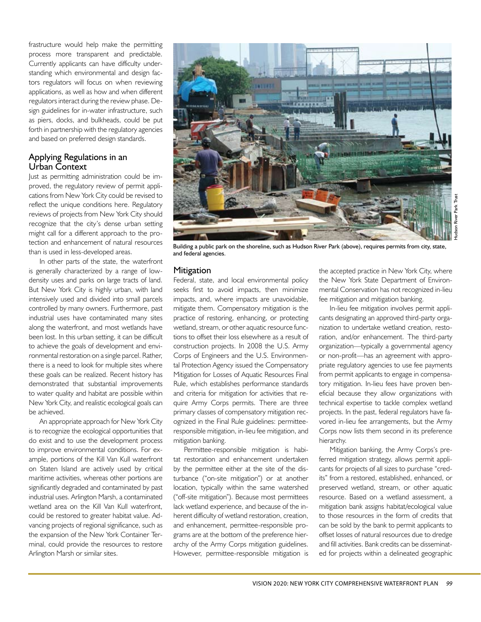frastructure would help make the permitting process more transparent and predictable. Currently applicants can have difficulty understanding which environmental and design factors regulators will focus on when reviewing applications, as well as how and when different regulators interact during the review phase. Design guidelines for in-water infrastructure, such as piers, docks, and bulkheads, could be put forth in partnership with the regulatory agencies and based on preferred design standards.

#### Applying Regulations in an Urban Context

Just as permitting administration could be improved, the regulatory review of permit applications from New York City could be revised to reflect the unique conditions here. Regulatory reviews of projects from New York City should recognize that the city's dense urban setting might call for a different approach to the protection and enhancement of natural resources than is used in less-developed areas.

In other parts of the state, the waterfront is generally characterized by a range of lowdensity uses and parks on large tracts of land. But New York City is highly urban, with land intensively used and divided into small parcels controlled by many owners. Furthermore, past industrial uses have contaminated many sites along the waterfront, and most wetlands have been lost. In this urban setting, it can be difficult to achieve the goals of development and environmental restoration on a single parcel. Rather, there is a need to look for multiple sites where these goals can be realized. Recent history has demonstrated that substantial improvements to water quality and habitat are possible within New York City, and realistic ecological goals can be achieved.

An appropriate approach for New York City is to recognize the ecological opportunities that do exist and to use the development process to improve environmental conditions. For example, portions of the Kill Van Kull waterfront on Staten Island are actively used by critical maritime activities, whereas other portions are significantly degraded and contaminated by past industrial uses. Arlington Marsh, a contaminated wetland area on the Kill Van Kull waterfront, could be restored to greater habitat value. Advancing projects of regional significance, such as the expansion of the New York Container Terminal, could provide the resources to restore Arlington Marsh or similar sites.



Building a public park on the shoreline, such as Hudson River Park (above), requires permits from city, state, and federal agencies.

#### **Mitigation**

Federal, state, and local environmental policy seeks first to avoid impacts, then minimize impacts, and, where impacts are unavoidable, mitigate them. Compensatory mitigation is the practice of restoring, enhancing, or protecting wetland, stream, or other aquatic resource functions to offset their loss elsewhere as a result of construction projects. In 2008 the U.S. Army Corps of Engineers and the U.S. Environmental Protection Agency issued the Compensatory Mitigation for Losses of Aquatic Resources Final Rule, which establishes performance standards and criteria for mitigation for activities that require Army Corps permits. There are three primary classes of compensatory mitigation recognized in the Final Rule guidelines: permitteeresponsible mitigation, in-lieu fee mitigation, and mitigation banking.

Permittee-responsible mitigation is habitat restoration and enhancement undertaken by the permittee either at the site of the disturbance ("on-site mitigation") or at another location, typically within the same watershed ("off-site mitigation"). Because most permittees lack wetland experience, and because of the inherent difficulty of wetland restoration, creation, and enhancement, permittee-responsible programs are at the bottom of the preference hierarchy of the Army Corps mitigation guidelines. However, permittee-responsible mitigation is

the accepted practice in New York City, where the New York State Department of Environmental Conservation has not recognized in-lieu fee mitigation and mitigation banking.

In-lieu fee mitigation involves permit applicants designating an approved third-party organization to undertake wetland creation, restoration, and/or enhancement. The third-party organization—typically a governmental agency or non-profit—has an agreement with appropriate regulatory agencies to use fee payments from permit applicants to engage in compensatory mitigation. In-lieu fees have proven beneficial because they allow organizations with technical expertise to tackle complex wetland projects. In the past, federal regulators have favored in-lieu fee arrangements, but the Army Corps now lists them second in its preference hierarchy.

Mitigation banking, the Army Corps's preferred mitigation strategy, allows permit applicants for projects of all sizes to purchase "credits" from a restored, established, enhanced, or preserved wetland, stream, or other aquatic resource. Based on a wetland assessment, a mitigation bank assigns habitat/ecological value to those resources in the form of credits that can be sold by the bank to permit applicants to offset losses of natural resources due to dredge and fill activities. Bank credits can be disseminated for projects within a delineated geographic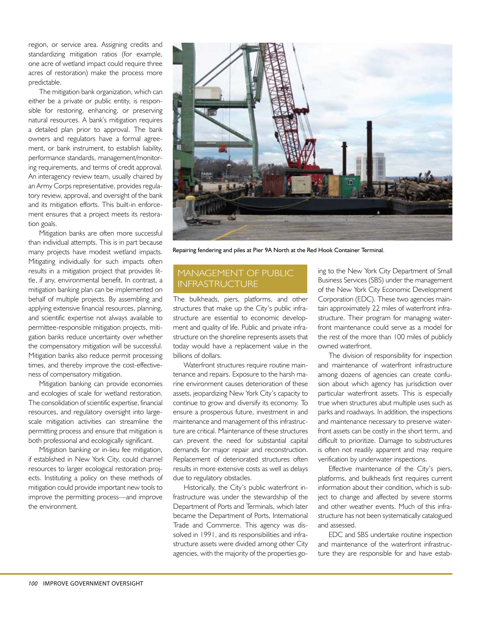region, or service area. Assigning credits and standardizing mitigation ratios (for example, one acre of wetland impact could require three acres of restoration) make the process more predictable.

The mitigation bank organization, which can either be a private or public entity, is responsible for restoring, enhancing, or preserving natural resources. A bank's mitigation requires a detailed plan prior to approval. The bank owners and regulators have a formal agreement, or bank instrument, to establish liability, performance standards, management/monitoring requirements, and terms of credit approval. An interagency review team, usually chaired by an Army Corps representative, provides regulatory review, approval, and oversight of the bank and its mitigation efforts. This built-in enforcement ensures that a project meets its restoration goals.

Mitigation banks are often more successful than individual attempts. This is in part because many projects have modest wetland impacts. Mitigating individually for such impacts often results in a mitigation project that provides little, if any, environmental benefit. In contrast, a mitigation banking plan can be implemented on behalf of multiple projects. By assembling and applying extensive financial resources, planning, and scientific expertise not always available to permittee-responsible mitigation projects, mitigation banks reduce uncertainty over whether the compensatory mitigation will be successful. Mitigation banks also reduce permit processing times, and thereby improve the cost-effectiveness of compensatory mitigation.

Mitigation banking can provide economies and ecologies of scale for wetland restoration. The consolidation of scientific expertise, financial resources, and regulatory oversight into largescale mitigation activities can streamline the permitting process and ensure that mitigation is both professional and ecologically significant.

Mitigation banking or in-lieu fee mitigation, if established in New York City, could channel resources to larger ecological restoration projects. Instituting a policy on these methods of mitigation could provide important new tools to improve the permitting process—and improve the environment.



Repairing fendering and piles at Pier 9A North at the Red Hook Container Terminal.

# MANAGEMENT OF PUBLIC INFRASTRUCTURE

The bulkheads, piers, platforms, and other structures that make up the City's public infrastructure are essential to economic development and quality of life. Public and private infrastructure on the shoreline represents assets that today would have a replacement value in the billions of dollars.

Waterfront structures require routine maintenance and repairs. Exposure to the harsh marine environment causes deterioration of these assets, jeopardizing New York City's capacity to continue to grow and diversify its economy. To ensure a prosperous future, investment in and maintenance and management of this infrastructure are critical. Maintenance of these structures can prevent the need for substantial capital demands for major repair and reconstruction. Replacement of deteriorated structures often results in more extensive costs as well as delays due to regulatory obstacles.

Historically, the City's public waterfront infrastructure was under the stewardship of the Department of Ports and Terminals, which later became the Department of Ports, International Trade and Commerce. This agency was dissolved in 1991, and its responsibilities and infrastructure assets were divided among other City agencies, with the majority of the properties go-

ing to the New York City Department of Small Business Services (SBS) under the management of the New York City Economic Development Corporation (EDC). These two agencies maintain approximately 22 miles of waterfront infrastructure. Their program for managing waterfront maintenance could serve as a model for the rest of the more than 100 miles of publicly owned waterfront.

The division of responsibility for inspection and maintenance of waterfront infrastructure among dozens of agencies can create confusion about which agency has jurisdiction over particular waterfront assets. This is especially true when structures abut multiple uses such as parks and roadways. In addition, the inspections and maintenance necessary to preserve waterfront assets can be costly in the short term, and difficult to prioritize. Damage to substructures is often not readily apparent and may require verification by underwater inspections.

Effective maintenance of the City's piers, platforms, and bulkheads first requires current information about their condition, which is subject to change and affected by severe storms and other weather events. Much of this infrastructure has not been systematically catalogued and assessed.

EDC and SBS undertake routine inspection and maintenance of the waterfront infrastructure they are responsible for and have estab-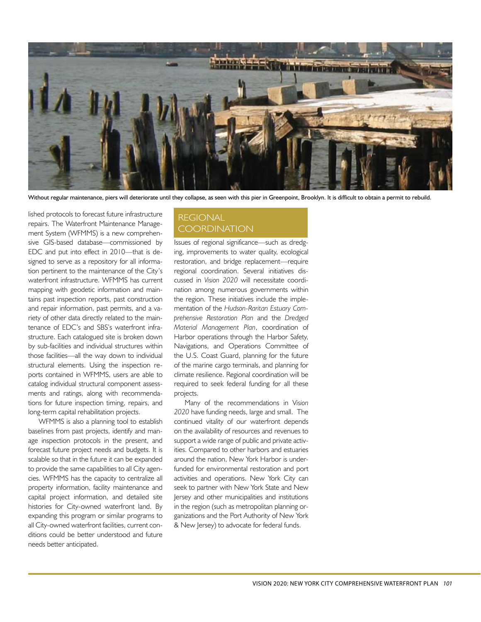

Without regular maintenance, piers will deteriorate until they collapse, as seen with this pier in Greenpoint, Brooklyn. It is difficult to obtain a permit to rebuild.

lished protocols to forecast future infrastructure repairs. The Waterfront Maintenance Management System (WFMMS) is a new comprehensive GIS-based database—commissioned by EDC and put into effect in 2010—that is designed to serve as a repository for all information pertinent to the maintenance of the City's waterfront infrastructure. WFMMS has current mapping with geodetic information and maintains past inspection reports, past construction and repair information, past permits, and a variety of other data directly related to the maintenance of EDC's and SBS's waterfront infrastructure. Each catalogued site is broken down by sub-facilities and individual structures within those facilities—all the way down to individual structural elements. Using the inspection reports contained in WFMMS, users are able to catalog individual structural component assessments and ratings, along with recommendations for future inspection timing, repairs, and long-term capital rehabilitation projects.

WFMMS is also a planning tool to establish baselines from past projects, identify and manage inspection protocols in the present, and forecast future project needs and budgets. It is scalable so that in the future it can be expanded to provide the same capabilities to all City agencies. WFMMS has the capacity to centralize all property information, facility maintenance and capital project information, and detailed site histories for City-owned waterfront land. By expanding this program or similar programs to all City-owned waterfront facilities, current conditions could be better understood and future needs better anticipated.

# REGIONAL **COORDINATION**

Issues of regional significance—such as dredging, improvements to water quality, ecological restoration, and bridge replacement—require regional coordination. Several initiatives discussed in *Vision 2020* will necessitate coordination among numerous governments within the region. These initiatives include the implementation of the *Hudson-Raritan Estuary Comprehensive Restoration Plan* and the *Dredged Material Management Plan*, coordination of Harbor operations through the Harbor Safety, Navigations, and Operations Committee of the U.S. Coast Guard, planning for the future of the marine cargo terminals, and planning for climate resilience. Regional coordination will be required to seek federal funding for all these projects.

Many of the recommendations in V*ision 2020* have funding needs, large and small. The continued vitality of our waterfront depends on the availability of resources and revenues to support a wide range of public and private activities. Compared to other harbors and estuaries around the nation, New York Harbor is underfunded for environmental restoration and port activities and operations. New York City can seek to partner with New York State and New Jersey and other municipalities and institutions in the region (such as metropolitan planning organizations and the Port Authority of New York & New Jersey) to advocate for federal funds.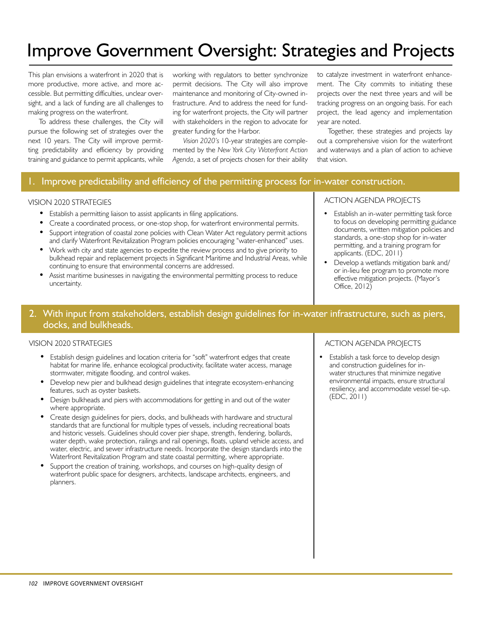# Improve Government Oversight: Strategies and Projects

This plan envisions a waterfront in 2020 that is more productive, more active, and more accessible. But permitting difficulties, unclear oversight, and a lack of funding are all challenges to making progress on the waterfront.

To address these challenges, the City will pursue the following set of strategies over the next 10 years. The City will improve permitting predictability and efficiency by providing training and guidance to permit applicants, while working with regulators to better synchronize permit decisions. The City will also improve maintenance and monitoring of City-owned infrastructure. And to address the need for funding for waterfront projects, the City will partner with stakeholders in the region to advocate for greater funding for the Harbor.

*Vision 2020's* 10-year strategies are complemented by the *New York City Waterfront Action Agenda*, a set of projects chosen for their ability to catalyze investment in waterfront enhancement. The City commits to initiating these projects over the next three years and will be tracking progress on an ongoing basis. For each project, the lead agency and implementation year are noted.

Together, these strategies and projects lay out a comprehensive vision for the waterfront and waterways and a plan of action to achieve that vision.

# Improve predictability and efficiency of the permitting process for in-water construction.

#### VISION 2020 STRATEGIES

- Establish a permitting liaison to assist applicants in filing applications.
- Create a coordinated process, or one-stop shop, for waterfront environmental permits.
- Support integration of coastal zone policies with Clean Water Act regulatory permit actions and clarify Waterfront Revitalization Program policies encouraging "water-enhanced" uses.
- Work with city and state agencies to expedite the review process and to give priority to bulkhead repair and replacement projects in Significant Maritime and Industrial Areas, while continuing to ensure that environmental concerns are addressed.
- Assist maritime businesses in navigating the environmental permitting process to reduce uncertainty.

#### ACTION AGENDA PROJECTS

- Establish an in-water permitting task force to focus on developing permitting guidance documents, written mitigation policies and standards, a one-stop shop for in-water permitting, and a training program for applicants. (EDC, 2011)
- Develop a wetlands mitigation bank and/ or in-lieu fee program to promote more effective mitigation projects. (Mayor's Office, 2012)

# 2. With input from stakeholders, establish design guidelines for in-water infrastructure, such as piers, docks, and bulkheads.

#### VISION 2020 STRATEGIES

- Establish design guidelines and location criteria for "soft" waterfront edges that create habitat for marine life, enhance ecological productivity, facilitate water access, manage stormwater, mitigate flooding, and control wakes.
- Develop new pier and bulkhead design guidelines that integrate ecosystem-enhancing features, such as oyster baskets.
- Design bulkheads and piers with accommodations for getting in and out of the water where appropriate.
- Create design guidelines for piers, docks, and bulkheads with hardware and structural standards that are functional for multiple types of vessels, including recreational boats and historic vessels. Guidelines should cover pier shape, strength, fendering, bollards, water depth, wake protection, railings and rail openings, floats, upland vehicle access, and water, electric, and sewer infrastructure needs. Incorporate the design standards into the Waterfront Revitalization Program and state coastal permitting, where appropriate.
- Support the creation of training, workshops, and courses on high-quality design of waterfront public space for designers, architects, landscape architects, engineers, and planners.

#### ACTION AGENDA PROJECTS

Establish a task force to develop design and construction guidelines for inwater structures that minimize negative environmental impacts, ensure structural resiliency, and accommodate vessel tie-up. (EDC, 2011)